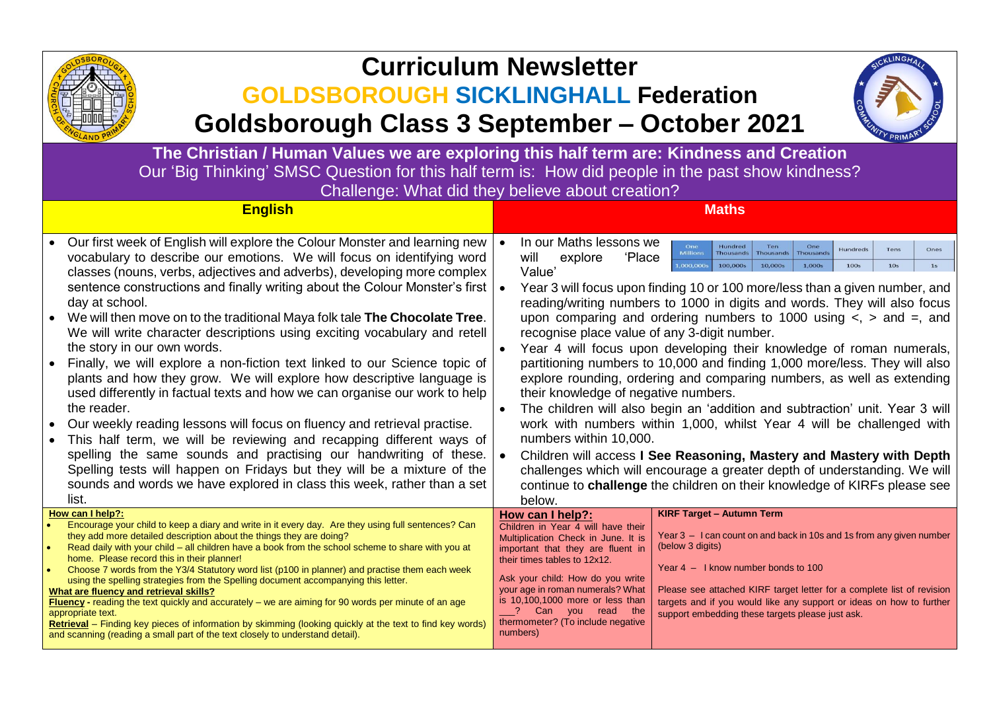

## **Curriculum Newsletter**

## **GOLDSBOROUGH SICKLINGHALL Federation**

**Goldsborough Class 3 September – October 2021**



**The Christian / Human Values we are exploring this half term are: Kindness and Creation** Our 'Big Thinking' SMSC Question for this half term is: How did people in the past show kindness? Challenge: What did they believe about creation?

| <b>English</b>                                                                                                                                                                                                                                                                                                                                                                                                                                                                                                                                                                                                                                                                                                                                                                                                                                                                                                                                                                                                                                                                                                                                                           | <b>Maths</b>                                                                                                                                                                                                                                                                                                                                                                                                                                                                                                                                                                                                                                                                                                                                                                                                                                                                                                                                                                                                                                                                                                                                                                                                                                                                               |
|--------------------------------------------------------------------------------------------------------------------------------------------------------------------------------------------------------------------------------------------------------------------------------------------------------------------------------------------------------------------------------------------------------------------------------------------------------------------------------------------------------------------------------------------------------------------------------------------------------------------------------------------------------------------------------------------------------------------------------------------------------------------------------------------------------------------------------------------------------------------------------------------------------------------------------------------------------------------------------------------------------------------------------------------------------------------------------------------------------------------------------------------------------------------------|--------------------------------------------------------------------------------------------------------------------------------------------------------------------------------------------------------------------------------------------------------------------------------------------------------------------------------------------------------------------------------------------------------------------------------------------------------------------------------------------------------------------------------------------------------------------------------------------------------------------------------------------------------------------------------------------------------------------------------------------------------------------------------------------------------------------------------------------------------------------------------------------------------------------------------------------------------------------------------------------------------------------------------------------------------------------------------------------------------------------------------------------------------------------------------------------------------------------------------------------------------------------------------------------|
| Our first week of English will explore the Colour Monster and learning new<br>vocabulary to describe our emotions. We will focus on identifying word<br>classes (nouns, verbs, adjectives and adverbs), developing more complex<br>sentence constructions and finally writing about the Colour Monster's first  <br>day at school.<br>We will then move on to the traditional Maya folk tale The Chocolate Tree.<br>We will write character descriptions using exciting vocabulary and retell<br>the story in our own words.<br>Finally, we will explore a non-fiction text linked to our Science topic of<br>plants and how they grow. We will explore how descriptive language is<br>used differently in factual texts and how we can organise our work to help<br>the reader.<br>Our weekly reading lessons will focus on fluency and retrieval practise.<br>This half term, we will be reviewing and recapping different ways of<br>spelling the same sounds and practising our handwriting of these.<br>Spelling tests will happen on Fridays but they will be a mixture of the<br>sounds and words we have explored in class this week, rather than a set<br>list. | In our Maths lessons we<br>One<br>Hundred<br><b>Hundreds</b><br>Ones<br>Tens<br><b>Millions</b><br><b>Thousands</b><br><b>Thousands</b><br><b>Thousands</b><br>will<br>explore<br>'Place<br>1,000,000<br>100,000s<br>10,000s<br>1,000s<br><b>100s</b><br>10 <sub>s</sub><br>1s<br>Value'<br>Year 3 will focus upon finding 10 or 100 more/less than a given number, and<br>reading/writing numbers to 1000 in digits and words. They will also focus<br>upon comparing and ordering numbers to 1000 using $\lt$ , $>$ and $=$ , and<br>recognise place value of any 3-digit number.<br>Year 4 will focus upon developing their knowledge of roman numerals,<br>partitioning numbers to 10,000 and finding 1,000 more/less. They will also<br>explore rounding, ordering and comparing numbers, as well as extending<br>their knowledge of negative numbers.<br>The children will also begin an 'addition and subtraction' unit. Year 3 will<br>work with numbers within 1,000, whilst Year 4 will be challenged with<br>numbers within 10,000.<br>Children will access I See Reasoning, Mastery and Mastery with Depth<br>challenges which will encourage a greater depth of understanding. We will<br>continue to challenge the children on their knowledge of KIRFs please see<br>below. |
| How can I help?:<br>Encourage your child to keep a diary and write in it every day. Are they using full sentences? Can<br>they add more detailed description about the things they are doing?<br>Read daily with your child - all children have a book from the school scheme to share with you at<br>home. Please record this in their planner!<br>Choose 7 words from the Y3/4 Statutory word list (p100 in planner) and practise them each week<br>$\bullet$<br>using the spelling strategies from the Spelling document accompanying this letter.<br>What are fluency and retrieval skills?<br>Fluency - reading the text quickly and accurately - we are aiming for 90 words per minute of an age<br>appropriate text.<br>Retrieval - Finding key pieces of information by skimming (looking quickly at the text to find key words)<br>and scanning (reading a small part of the text closely to understand detail).                                                                                                                                                                                                                                                | <b>KIRF Target - Autumn Term</b><br>How can I help?:<br>Children in Year 4 will have their<br>Year 3 - I can count on and back in 10s and 1s from any given number<br>Multiplication Check in June. It is<br>(below 3 digits)<br>important that they are fluent in<br>their times tables to 12x12.<br>Year $4 - 1$ know number bonds to 100<br>Ask your child: How do you write<br>your age in roman numerals? What<br>Please see attached KIRF target letter for a complete list of revision<br>is 10,100,1000 more or less than<br>targets and if you would like any support or ideas on how to further<br>? Can you read the<br>support embedding these targets please just ask.<br>thermometer? (To include negative<br>numbers)                                                                                                                                                                                                                                                                                                                                                                                                                                                                                                                                                       |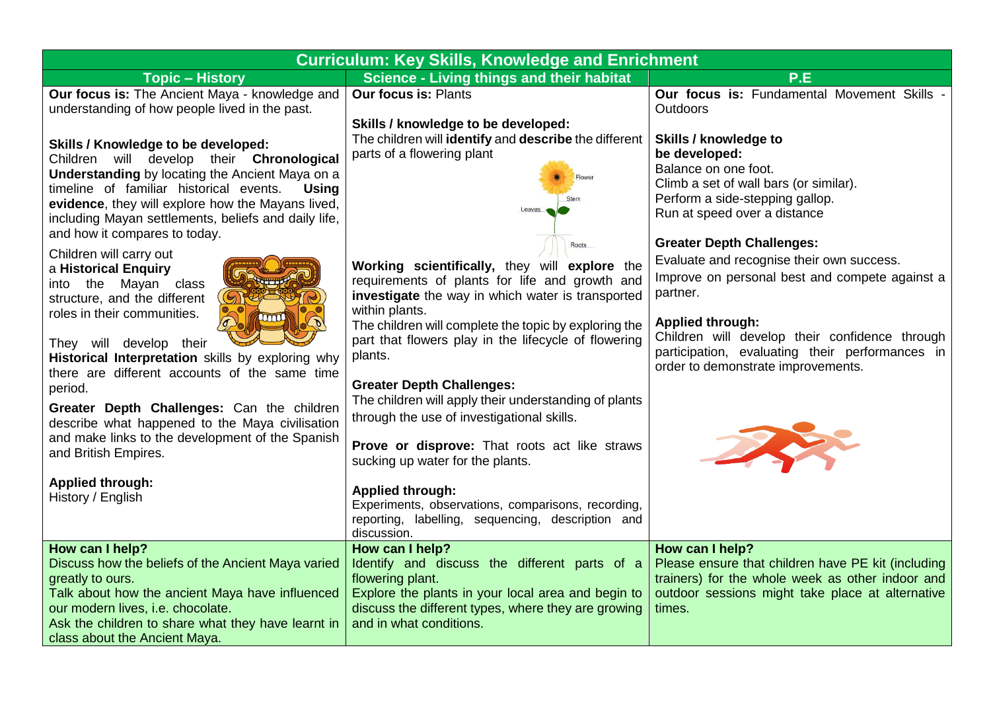| <b>Curriculum: Key Skills, Knowledge and Enrichment</b>                                                                                                                                                                                                                                                                                                                                                                                                                                                                           |                                                                                                                                                                                                                                                                                                                                                                                                                                                                                                                                                                        |                                                                                                                                                                                                                                                                                                                   |  |
|-----------------------------------------------------------------------------------------------------------------------------------------------------------------------------------------------------------------------------------------------------------------------------------------------------------------------------------------------------------------------------------------------------------------------------------------------------------------------------------------------------------------------------------|------------------------------------------------------------------------------------------------------------------------------------------------------------------------------------------------------------------------------------------------------------------------------------------------------------------------------------------------------------------------------------------------------------------------------------------------------------------------------------------------------------------------------------------------------------------------|-------------------------------------------------------------------------------------------------------------------------------------------------------------------------------------------------------------------------------------------------------------------------------------------------------------------|--|
| <b>Topic - History</b>                                                                                                                                                                                                                                                                                                                                                                                                                                                                                                            | <b>Science - Living things and their habitat</b>                                                                                                                                                                                                                                                                                                                                                                                                                                                                                                                       | P.E                                                                                                                                                                                                                                                                                                               |  |
| Our focus is: The Ancient Maya - knowledge and<br>understanding of how people lived in the past.                                                                                                                                                                                                                                                                                                                                                                                                                                  | <b>Our focus is: Plants</b><br>Skills / knowledge to be developed:                                                                                                                                                                                                                                                                                                                                                                                                                                                                                                     | Our focus is: Fundamental Movement Skills -<br><b>Outdoors</b>                                                                                                                                                                                                                                                    |  |
| Skills / Knowledge to be developed:<br>Children will develop their Chronological<br><b>Understanding</b> by locating the Ancient Maya on a<br>timeline of familiar historical events.<br><b>Using</b><br>evidence, they will explore how the Mayans lived,<br>including Mayan settlements, beliefs and daily life,<br>and how it compares to today.                                                                                                                                                                               | The children will identify and describe the different<br>parts of a flowering plant<br>Leaves                                                                                                                                                                                                                                                                                                                                                                                                                                                                          | Skills / knowledge to<br>be developed:<br>Balance on one foot.<br>Climb a set of wall bars (or similar).<br>Perform a side-stepping gallop.<br>Run at speed over a distance                                                                                                                                       |  |
| Children will carry out<br>a Historical Enquiry<br>into the Mayan class<br>structure, and the different<br>roles in their communities.<br><b>ACCOUNT</b><br>They will develop their<br>Historical Interpretation skills by exploring why<br>there are different accounts of the same time<br>period.<br>Greater Depth Challenges: Can the children<br>describe what happened to the Maya civilisation<br>and make links to the development of the Spanish<br>and British Empires.<br><b>Applied through:</b><br>History / English | Roots<br>Working scientifically, they will explore the<br>requirements of plants for life and growth and<br>investigate the way in which water is transported<br>within plants.<br>The children will complete the topic by exploring the<br>part that flowers play in the lifecycle of flowering<br>plants.<br><b>Greater Depth Challenges:</b><br>The children will apply their understanding of plants<br>through the use of investigational skills.<br>Prove or disprove: That roots act like straws<br>sucking up water for the plants.<br><b>Applied through:</b> | <b>Greater Depth Challenges:</b><br>Evaluate and recognise their own success.<br>Improve on personal best and compete against a<br>partner.<br><b>Applied through:</b><br>Children will develop their confidence through<br>participation, evaluating their performances in<br>order to demonstrate improvements. |  |
| How can I help?                                                                                                                                                                                                                                                                                                                                                                                                                                                                                                                   | Experiments, observations, comparisons, recording,<br>reporting, labelling, sequencing, description and<br>discussion.<br>How can I help?                                                                                                                                                                                                                                                                                                                                                                                                                              | How can I help?                                                                                                                                                                                                                                                                                                   |  |
| Discuss how the beliefs of the Ancient Maya varied<br>greatly to ours.<br>Talk about how the ancient Maya have influenced<br>our modern lives, i.e. chocolate.<br>Ask the children to share what they have learnt in<br>class about the Ancient Maya.                                                                                                                                                                                                                                                                             | Identify and discuss the different parts of a<br>flowering plant.<br>Explore the plants in your local area and begin to<br>discuss the different types, where they are growing<br>and in what conditions.                                                                                                                                                                                                                                                                                                                                                              | Please ensure that children have PE kit (including<br>trainers) for the whole week as other indoor and<br>outdoor sessions might take place at alternative<br>times.                                                                                                                                              |  |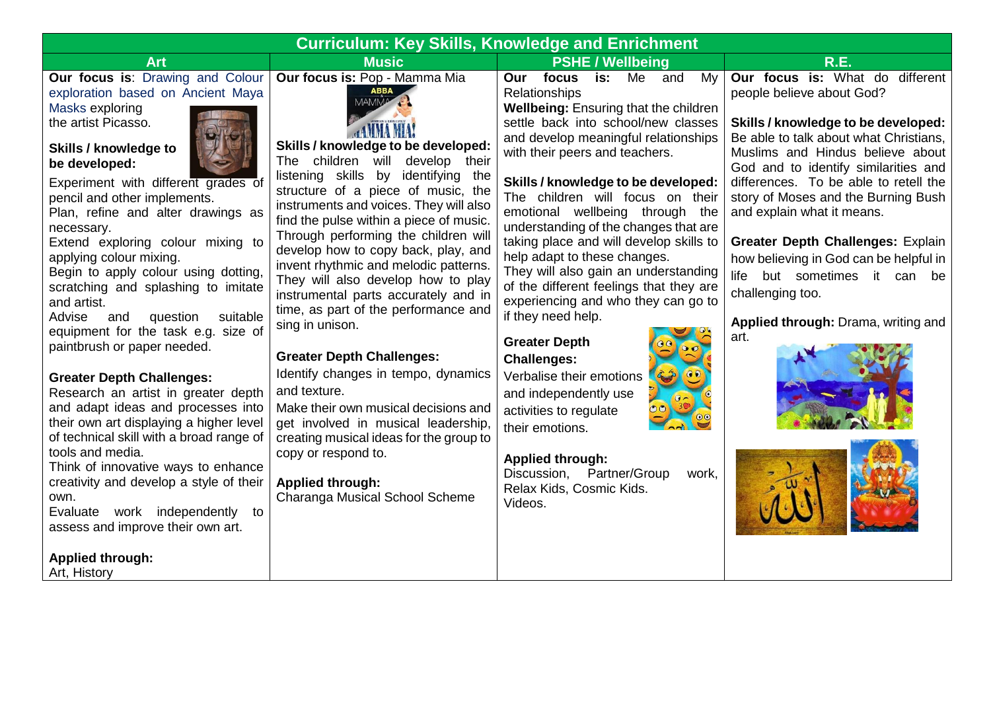| <b>Curriculum: Key Skills, Knowledge and Enrichment</b>                                                                                                                                                                                                                                                                                                                                                                                                                                                                                                                                                                                                                                                                                                                                                                                                                                                                                                                                                      |                                                                                                                                                                                                                                                                                                                                                                                                                                                                                                                                                                                                                                                                                                                                                                                                                                                                        |                                                                                                                                                                                                                                                                                                                                                                                                                                                                                                                                                                                                                                                                                                                                                                                                                                                             |                                                                                                                                                                                                                                                                                                                                                                                                                                                                                                                           |
|--------------------------------------------------------------------------------------------------------------------------------------------------------------------------------------------------------------------------------------------------------------------------------------------------------------------------------------------------------------------------------------------------------------------------------------------------------------------------------------------------------------------------------------------------------------------------------------------------------------------------------------------------------------------------------------------------------------------------------------------------------------------------------------------------------------------------------------------------------------------------------------------------------------------------------------------------------------------------------------------------------------|------------------------------------------------------------------------------------------------------------------------------------------------------------------------------------------------------------------------------------------------------------------------------------------------------------------------------------------------------------------------------------------------------------------------------------------------------------------------------------------------------------------------------------------------------------------------------------------------------------------------------------------------------------------------------------------------------------------------------------------------------------------------------------------------------------------------------------------------------------------------|-------------------------------------------------------------------------------------------------------------------------------------------------------------------------------------------------------------------------------------------------------------------------------------------------------------------------------------------------------------------------------------------------------------------------------------------------------------------------------------------------------------------------------------------------------------------------------------------------------------------------------------------------------------------------------------------------------------------------------------------------------------------------------------------------------------------------------------------------------------|---------------------------------------------------------------------------------------------------------------------------------------------------------------------------------------------------------------------------------------------------------------------------------------------------------------------------------------------------------------------------------------------------------------------------------------------------------------------------------------------------------------------------|
| <b>Art</b>                                                                                                                                                                                                                                                                                                                                                                                                                                                                                                                                                                                                                                                                                                                                                                                                                                                                                                                                                                                                   | <b>Music</b>                                                                                                                                                                                                                                                                                                                                                                                                                                                                                                                                                                                                                                                                                                                                                                                                                                                           | <b>PSHE / Wellbeing</b>                                                                                                                                                                                                                                                                                                                                                                                                                                                                                                                                                                                                                                                                                                                                                                                                                                     | <b>R.E.</b>                                                                                                                                                                                                                                                                                                                                                                                                                                                                                                               |
| Our focus is: Drawing and Colour<br>exploration based on Ancient Maya<br>Masks exploring<br>the artist Picasso.<br>Skills / knowledge to<br>be developed:<br>Experiment with different grades of<br>pencil and other implements.<br>Plan, refine and alter drawings as<br>necessary.<br>Extend exploring colour mixing to<br>applying colour mixing.<br>Begin to apply colour using dotting,<br>scratching and splashing to imitate<br>and artist.<br>question<br>suitable<br>Advise<br>and<br>equipment for the task e.g. size of<br>paintbrush or paper needed.<br><b>Greater Depth Challenges:</b><br>Research an artist in greater depth<br>and adapt ideas and processes into<br>their own art displaying a higher level<br>of technical skill with a broad range of<br>tools and media.<br>Think of innovative ways to enhance<br>creativity and develop a style of their<br>own.<br>Evaluate work independently<br>to<br>assess and improve their own art.<br><b>Applied through:</b><br>Art, History | Our focus is: Pop - Mamma Mia<br><b>MAMMA</b><br>Skills / knowledge to be developed:<br>The children will develop<br>their<br>listening skills by identifying the<br>structure of a piece of music, the<br>instruments and voices. They will also<br>find the pulse within a piece of music.<br>Through performing the children will<br>develop how to copy back, play, and<br>invent rhythmic and melodic patterns.<br>They will also develop how to play<br>instrumental parts accurately and in<br>time, as part of the performance and<br>sing in unison.<br><b>Greater Depth Challenges:</b><br>Identify changes in tempo, dynamics<br>and texture.<br>Make their own musical decisions and<br>get involved in musical leadership,<br>creating musical ideas for the group to<br>copy or respond to.<br><b>Applied through:</b><br>Charanga Musical School Scheme | focus<br>Our<br>is:<br>Me<br>and<br>My<br>Relationships<br>Wellbeing: Ensuring that the children<br>settle back into school/new classes<br>and develop meaningful relationships<br>with their peers and teachers.<br>Skills / knowledge to be developed:<br>The children will focus on their<br>emotional wellbeing through the<br>understanding of the changes that are<br>taking place and will develop skills to<br>help adapt to these changes.<br>They will also gain an understanding<br>of the different feelings that they are<br>experiencing and who they can go to<br>if they need help.<br><b>Greater Depth</b><br><b>Challenges:</b><br>Verbalise their emotions<br>and independently use<br>activities to regulate<br>their emotions.<br><b>Applied through:</b><br>Discussion, Partner/Group<br>work,<br>Relax Kids, Cosmic Kids.<br>Videos. | Our focus is: What do different<br>people believe about God?<br>Skills / knowledge to be developed:<br>Be able to talk about what Christians,<br>Muslims and Hindus believe about<br>God and to identify similarities and<br>differences. To be able to retell the<br>story of Moses and the Burning Bush<br>and explain what it means.<br>Greater Depth Challenges: Explain<br>how believing in God can be helpful in<br>life but sometimes it can be<br>challenging too.<br>Applied through: Drama, writing and<br>art. |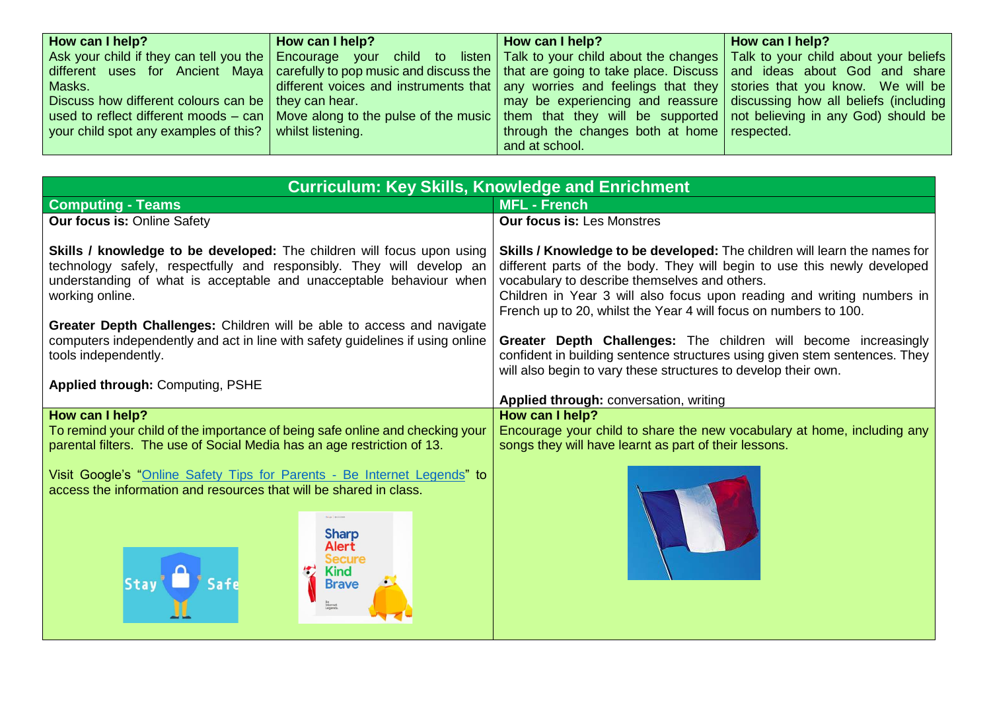| How can I help?                                         | How can I help? | How can I help?                                                                                                                                       | How can I help?                                                        |
|---------------------------------------------------------|-----------------|-------------------------------------------------------------------------------------------------------------------------------------------------------|------------------------------------------------------------------------|
|                                                         |                 | Ask your child if they can tell you the Encourage your child to listen   Talk to your child about the changes   Talk to your child about your beliefs |                                                                        |
|                                                         |                 | different uses for Ancient Maya   carefully to pop music and discuss the   that are going to take place. Discuss   and ideas about God and share      |                                                                        |
| Masks.                                                  |                 | different voices and instruments that any worries and feelings that they stories that you know. We will be                                            |                                                                        |
| Discuss how different colours can be   they can hear.   |                 |                                                                                                                                                       | may be experiencing and reassure discussing how all beliefs (including |
|                                                         |                 | used to reflect different moods – can   Move along to the pulse of the music   them that they will be supported   not believing in any God) should be |                                                                        |
| your child spot any examples of this? whilst listening. |                 | through the changes both at home respected.                                                                                                           |                                                                        |
|                                                         |                 | and at school.                                                                                                                                        |                                                                        |

| <b>Curriculum: Key Skills, Knowledge and Enrichment</b>                                                                                                                                                                                                                                                                                                                                                                                                                  |                                                                                                                                                                                                                                                                                                                                                                                                                                                                                                                                                                         |  |
|--------------------------------------------------------------------------------------------------------------------------------------------------------------------------------------------------------------------------------------------------------------------------------------------------------------------------------------------------------------------------------------------------------------------------------------------------------------------------|-------------------------------------------------------------------------------------------------------------------------------------------------------------------------------------------------------------------------------------------------------------------------------------------------------------------------------------------------------------------------------------------------------------------------------------------------------------------------------------------------------------------------------------------------------------------------|--|
| <b>Computing - Teams</b>                                                                                                                                                                                                                                                                                                                                                                                                                                                 | <b>MFL - French</b>                                                                                                                                                                                                                                                                                                                                                                                                                                                                                                                                                     |  |
| <b>Our focus is: Online Safety</b>                                                                                                                                                                                                                                                                                                                                                                                                                                       | <b>Our focus is: Les Monstres</b>                                                                                                                                                                                                                                                                                                                                                                                                                                                                                                                                       |  |
| Skills / knowledge to be developed: The children will focus upon using<br>technology safely, respectfully and responsibly. They will develop an<br>understanding of what is acceptable and unacceptable behaviour when<br>working online.<br>Greater Depth Challenges: Children will be able to access and navigate<br>computers independently and act in line with safety guidelines if using online<br>tools independently.<br><b>Applied through: Computing, PSHE</b> | Skills / Knowledge to be developed: The children will learn the names for<br>different parts of the body. They will begin to use this newly developed<br>vocabulary to describe themselves and others.<br>Children in Year 3 will also focus upon reading and writing numbers in<br>French up to 20, whilst the Year 4 will focus on numbers to 100.<br>Greater Depth Challenges: The children will become increasingly<br>confident in building sentence structures using given stem sentences. They<br>will also begin to vary these structures to develop their own. |  |
|                                                                                                                                                                                                                                                                                                                                                                                                                                                                          | Applied through: conversation, writing                                                                                                                                                                                                                                                                                                                                                                                                                                                                                                                                  |  |
| How can I help?<br>To remind your child of the importance of being safe online and checking your<br>parental filters. The use of Social Media has an age restriction of 13.                                                                                                                                                                                                                                                                                              | How can I help?<br>Encourage your child to share the new vocabulary at home, including any<br>songs they will have learnt as part of their lessons.                                                                                                                                                                                                                                                                                                                                                                                                                     |  |
| Visit Google's "Online Safety Tips for Parents - Be Internet Legends" to<br>access the information and resources that will be shared in class.<br>Gras Division<br><b>Sharp</b><br>Alert<br><b>Secure</b><br><b>Kind</b><br>Stay Safe<br><b>Brave</b>                                                                                                                                                                                                                    |                                                                                                                                                                                                                                                                                                                                                                                                                                                                                                                                                                         |  |